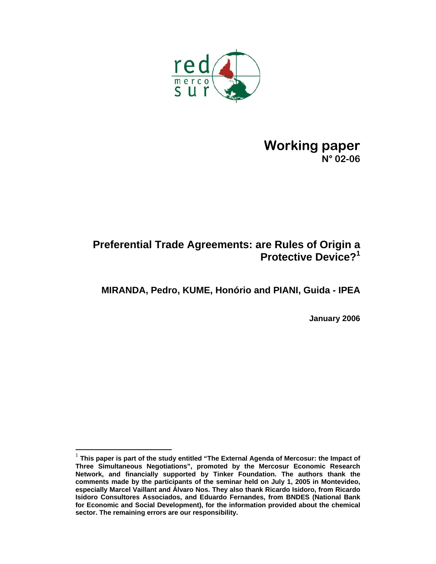

# **Working paper N° 02-06**

# **Preferential Trade Agreements: are Rules of Origin a Protective Device?1**

**MIRANDA, Pedro, KUME, Honório and PIANI, Guida - IPEA** 

**January 2006** 

<sup>&</sup>lt;sup>1</sup> This paper is part of the study entitled "The External Agenda of Mercosur: the Impact of **Three Simultaneous Negotiations", promoted by the Mercosur Economic Research Network, and financially supported by Tinker Foundation. The authors thank the comments made by the participants of the seminar held on July 1, 2005 in Montevideo, especially Marcel Vaillant and Álvaro Nos. They also thank Ricardo Isidoro, from Ricardo Isidoro Consultores Associados, and Eduardo Fernandes, from BNDES (National Bank for Economic and Social Development), for the information provided about the chemical sector. The remaining errors are our responsibility.**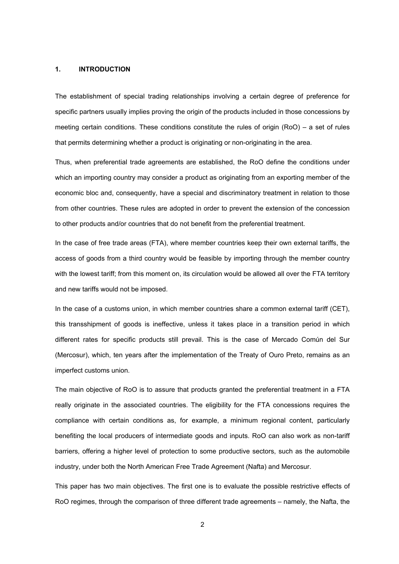## **1. INTRODUCTION**

The establishment of special trading relationships involving a certain degree of preference for specific partners usually implies proving the origin of the products included in those concessions by meeting certain conditions. These conditions constitute the rules of origin (RoO) – a set of rules that permits determining whether a product is originating or non-originating in the area.

Thus, when preferential trade agreements are established, the RoO define the conditions under which an importing country may consider a product as originating from an exporting member of the economic bloc and, consequently, have a special and discriminatory treatment in relation to those from other countries. These rules are adopted in order to prevent the extension of the concession to other products and/or countries that do not benefit from the preferential treatment.

In the case of free trade areas (FTA), where member countries keep their own external tariffs, the access of goods from a third country would be feasible by importing through the member country with the lowest tariff; from this moment on, its circulation would be allowed all over the FTA territory and new tariffs would not be imposed.

In the case of a customs union, in which member countries share a common external tariff (CET), this transshipment of goods is ineffective, unless it takes place in a transition period in which different rates for specific products still prevail. This is the case of Mercado Común del Sur (Mercosur), which, ten years after the implementation of the Treaty of Ouro Preto, remains as an imperfect customs union.

The main objective of RoO is to assure that products granted the preferential treatment in a FTA really originate in the associated countries. The eligibility for the FTA concessions requires the compliance with certain conditions as, for example, a minimum regional content, particularly benefiting the local producers of intermediate goods and inputs. RoO can also work as non-tariff barriers, offering a higher level of protection to some productive sectors, such as the automobile industry, under both the North American Free Trade Agreement (Nafta) and Mercosur.

This paper has two main objectives. The first one is to evaluate the possible restrictive effects of RoO regimes, through the comparison of three different trade agreements – namely, the Nafta, the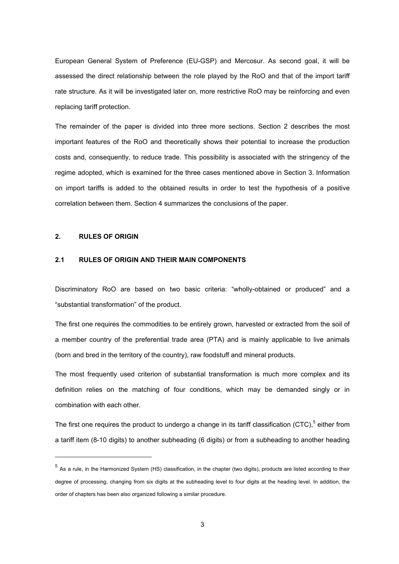European General System of Preference (EU-GSP) and Mercosur. As second goal, it will be assessed the direct relationship between the role played by the RoO and that of the import tariff rate structure. As it will be investigated later on, more restrictive RoO may be reinforcing and even replacing tariff protection.

The remainder of the paper is divided into three more sections. Section 2 describes the most important features of the RoO and theoretically shows their potential to increase the production costs and, consequently, to reduce trade. This possibility is associated with the stringency of the regime adopted, which is examined for the three cases mentioned above in Section 3. Information on import tariffs is added to the obtained results in order to test the hypothesis of a positive correlation between them. Section 4 summarizes the conclusions of the paper.

#### **2. RULES OF ORIGIN**

 $\overline{a}$ 

## **2.1 RULES OF ORIGIN AND THEIR MAIN COMPONENTS**

Discriminatory RoO are based on two basic criteria: "wholly-obtained or produced" and a "substantial transformation" of the product.

The first one requires the commodities to be entirely grown, harvested or extracted from the soil of a member country of the preferential trade area (PTA) and is mainly applicable to live animals (born and bred in the territory of the country), raw foodstuff and mineral products.

The most frequently used criterion of substantial transformation is much more complex and its definition relies on the matching of four conditions, which may be demanded singly or in combination with each other.

The first one requires the product to undergo a change in its tariff classification (CTC),<sup>5</sup> either from a tariff item (8-10 digits) to another subheading (6 digits) or from a subheading to another heading

<sup>5</sup> As a rule, in the Harmonized System (HS) classification, in the chapter (two digits), products are listed according to their degree of processing, changing from six digits at the subheading level to four digits at the heading level. In addition, the order of chapters has been also organized following a similar procedure.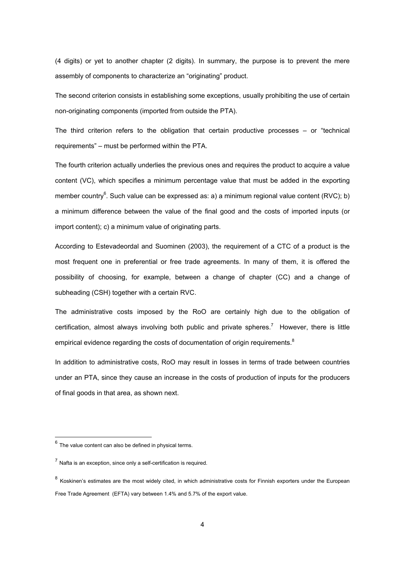(4 digits) or yet to another chapter (2 digits). In summary, the purpose is to prevent the mere assembly of components to characterize an "originating" product.

The second criterion consists in establishing some exceptions, usually prohibiting the use of certain non-originating components (imported from outside the PTA).

The third criterion refers to the obligation that certain productive processes – or "technical requirements" – must be performed within the PTA.

The fourth criterion actually underlies the previous ones and requires the product to acquire a value content (VC), which specifies a minimum percentage value that must be added in the exporting member country<sup>6</sup>. Such value can be expressed as: a) a minimum regional value content (RVC); b) a minimum difference between the value of the final good and the costs of imported inputs (or import content); c) a minimum value of originating parts.

According to Estevadeordal and Suominen (2003), the requirement of a CTC of a product is the most frequent one in preferential or free trade agreements. In many of them, it is offered the possibility of choosing, for example, between a change of chapter (CC) and a change of subheading (CSH) together with a certain RVC.

The administrative costs imposed by the RoO are certainly high due to the obligation of certification, almost always involving both public and private spheres.<sup>7</sup> However, there is little empirical evidence regarding the costs of documentation of origin requirements.<sup>8</sup>

In addition to administrative costs, RoO may result in losses in terms of trade between countries under an PTA, since they cause an increase in the costs of production of inputs for the producers of final goods in that area, as shown next.

 $6$  The value content can also be defined in physical terms.

 $<sup>7</sup>$  Nafta is an exception, since only a self-certification is required.</sup>

<sup>&</sup>lt;sup>8</sup> Koskinen's estimates are the most widely cited, in which administrative costs for Finnish exporters under the European Free Trade Agreement (EFTA) vary between 1.4% and 5.7% of the export value.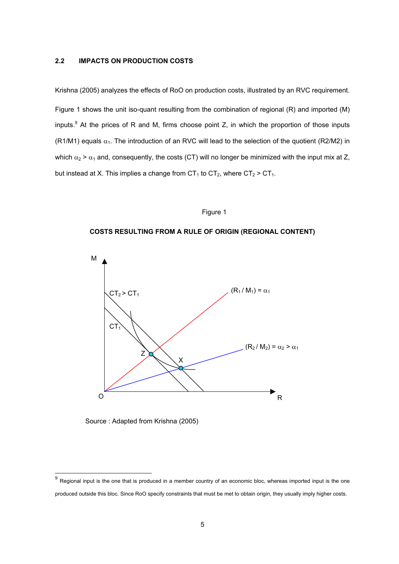## **2.2 IMPACTS ON PRODUCTION COSTS**

Krishna (2005) analyzes the effects of RoO on production costs, illustrated by an RVC requirement. Figure 1 shows the unit iso-quant resulting from the combination of regional (R) and imported (M) inputs. <sup>9</sup> At the prices of R and M, firms choose point Z, in which the proportion of those inputs (R1/M1) equals  $\alpha_1$ . The introduction of an RVC will lead to the selection of the quotient (R2/M2) in which  $\alpha_2 > \alpha_1$  and, consequently, the costs (CT) will no longer be minimized with the input mix at Z, but instead at X. This implies a change from  $CT_1$  to  $CT_2$ , where  $CT_2 > CT_1$ .

## Figure 1



**COSTS RESULTING FROM A RULE OF ORIGIN (REGIONAL CONTENT)** 

Source : Adapted from Krishna (2005)

 $9$  Regional input is the one that is produced in a member country of an economic bloc, whereas imported input is the one produced outside this bloc. Since RoO specify constraints that must be met to obtain origin, they usually imply higher costs.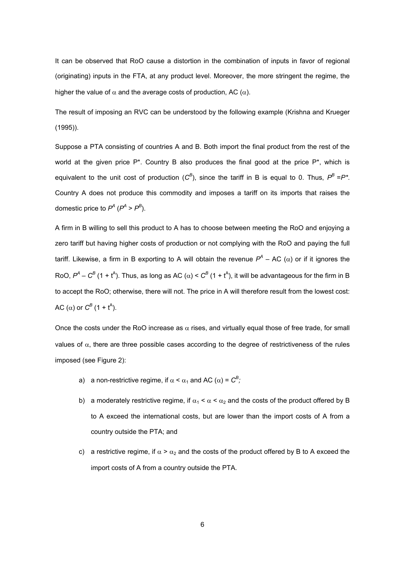It can be observed that RoO cause a distortion in the combination of inputs in favor of regional (originating) inputs in the FTA, at any product level. Moreover, the more stringent the regime, the higher the value of  $\alpha$  and the average costs of production, AC ( $\alpha$ ).

The result of imposing an RVC can be understood by the following example (Krishna and Krueger (1995)).

Suppose a PTA consisting of countries A and B. Both import the final product from the rest of the world at the given price P<sup>\*</sup>. Country B also produces the final good at the price P<sup>\*</sup>, which is equivalent to the unit cost of production  $(C^B)$ , since the tariff in B is equal to 0. Thus,  $P^B = P^*$ . Country A does not produce this commodity and imposes a tariff on its imports that raises the domestic price to  $P^A$  ( $P^A > P^B$ ).

A firm in B willing to sell this product to A has to choose between meeting the RoO and enjoying a zero tariff but having higher costs of production or not complying with the RoO and paying the full tariff. Likewise, a firm in B exporting to A will obtain the revenue  $P^A$  – AC (α) or if it ignores the RoO,  $P^A - C^B$  (1 + t<sup>A</sup>). Thus, as long as AC ( $\alpha$ ) <  $C^B$  (1 + t<sup>A</sup>), it will be advantageous for the firm in B to accept the RoO; otherwise, there will not. The price in A will therefore result from the lowest cost: AC ( $\alpha$ ) or  $C^B$  (1 + t<sup>A</sup>).

Once the costs under the RoO increase as  $\alpha$  rises, and virtually equal those of free trade, for small values of α, there are three possible cases according to the degree of restrictiveness of the rules imposed (see Figure 2):

- a) a non-restrictive regime, if  $\alpha < \alpha_1$  and AC  $(\alpha) = C^B$ ;
- b) a moderately restrictive regime, if  $\alpha_1 < \alpha < \alpha_2$  and the costs of the product offered by B to A exceed the international costs, but are lower than the import costs of A from a country outside the PTA; and
- c) a restrictive regime, if  $\alpha > \alpha_2$  and the costs of the product offered by B to A exceed the import costs of A from a country outside the PTA.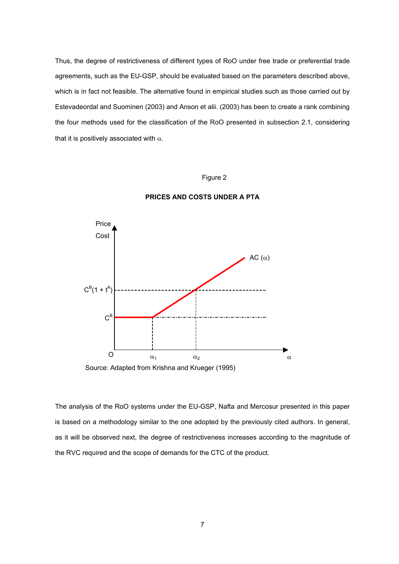Thus, the degree of restrictiveness of different types of RoO under free trade or preferential trade agreements, such as the EU-GSP, should be evaluated based on the parameters described above, which is in fact not feasible. The alternative found in empirical studies such as those carried out by Estevadeordal and Suominen (2003) and Anson et alii. (2003) has been to create a rank combining the four methods used for the classification of the RoO presented in subsection 2.1, considering that it is positively associated with  $\alpha$ .



**PRICES AND COSTS UNDER A PTA** 

Figure 2

The analysis of the RoO systems under the EU-GSP, Nafta and Mercosur presented in this paper is based on a methodology similar to the one adopted by the previously cited authors. In general, as it will be observed next, the degree of restrictiveness increases according to the magnitude of the RVC required and the scope of demands for the CTC of the product.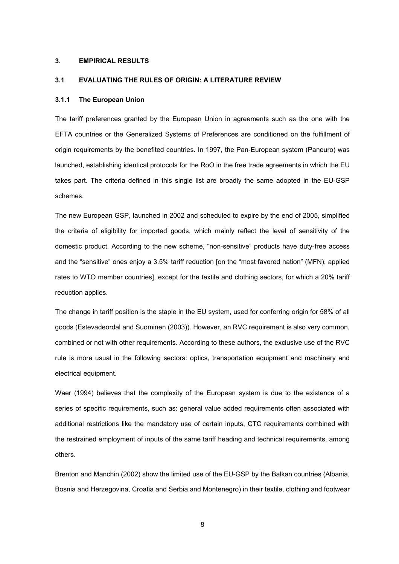#### **3. EMPIRICAL RESULTS**

#### **3.1 EVALUATING THE RULES OF ORIGIN: A LITERATURE REVIEW**

#### **3.1.1 The European Union**

The tariff preferences granted by the European Union in agreements such as the one with the EFTA countries or the Generalized Systems of Preferences are conditioned on the fulfillment of origin requirements by the benefited countries. In 1997, the Pan-European system (Paneuro) was launched, establishing identical protocols for the RoO in the free trade agreements in which the EU takes part. The criteria defined in this single list are broadly the same adopted in the EU-GSP schemes.

The new European GSP, launched in 2002 and scheduled to expire by the end of 2005, simplified the criteria of eligibility for imported goods, which mainly reflect the level of sensitivity of the domestic product. According to the new scheme, "non-sensitive" products have duty-free access and the "sensitive" ones enjoy a 3.5% tariff reduction [on the "most favored nation" (MFN), applied rates to WTO member countries], except for the textile and clothing sectors, for which a 20% tariff reduction applies.

The change in tariff position is the staple in the EU system, used for conferring origin for 58% of all goods (Estevadeordal and Suominen (2003)). However, an RVC requirement is also very common, combined or not with other requirements. According to these authors, the exclusive use of the RVC rule is more usual in the following sectors: optics, transportation equipment and machinery and electrical equipment.

Waer (1994) believes that the complexity of the European system is due to the existence of a series of specific requirements, such as: general value added requirements often associated with additional restrictions like the mandatory use of certain inputs, CTC requirements combined with the restrained employment of inputs of the same tariff heading and technical requirements, among others.

Brenton and Manchin (2002) show the limited use of the EU-GSP by the Balkan countries (Albania, Bosnia and Herzegovina, Croatia and Serbia and Montenegro) in their textile, clothing and footwear

<u>88 - Santa Amerikaanse konstantine (</u>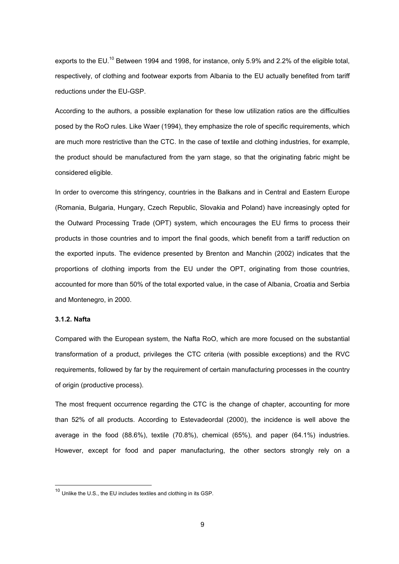exports to the EU.<sup>10</sup> Between 1994 and 1998, for instance, only 5.9% and 2.2% of the eligible total, respectively, of clothing and footwear exports from Albania to the EU actually benefited from tariff reductions under the EU-GSP.

According to the authors, a possible explanation for these low utilization ratios are the difficulties posed by the RoO rules. Like Waer (1994), they emphasize the role of specific requirements, which are much more restrictive than the CTC. In the case of textile and clothing industries, for example, the product should be manufactured from the yarn stage, so that the originating fabric might be considered eligible.

In order to overcome this stringency, countries in the Balkans and in Central and Eastern Europe (Romania, Bulgaria, Hungary, Czech Republic, Slovakia and Poland) have increasingly opted for the Outward Processing Trade (OPT) system, which encourages the EU firms to process their products in those countries and to import the final goods, which benefit from a tariff reduction on the exported inputs. The evidence presented by Brenton and Manchin (2002) indicates that the proportions of clothing imports from the EU under the OPT, originating from those countries, accounted for more than 50% of the total exported value, in the case of Albania, Croatia and Serbia and Montenegro, in 2000.

#### **3.1.2. Nafta**

 $\overline{a}$ 

Compared with the European system, the Nafta RoO, which are more focused on the substantial transformation of a product, privileges the CTC criteria (with possible exceptions) and the RVC requirements, followed by far by the requirement of certain manufacturing processes in the country of origin (productive process).

The most frequent occurrence regarding the CTC is the change of chapter, accounting for more than 52% of all products. According to Estevadeordal (2000), the incidence is well above the average in the food (88.6%), textile (70.8%), chemical (65%), and paper (64.1%) industries. However, except for food and paper manufacturing, the other sectors strongly rely on a

 $10$  Unlike the U.S., the EU includes textiles and clothing in its GSP.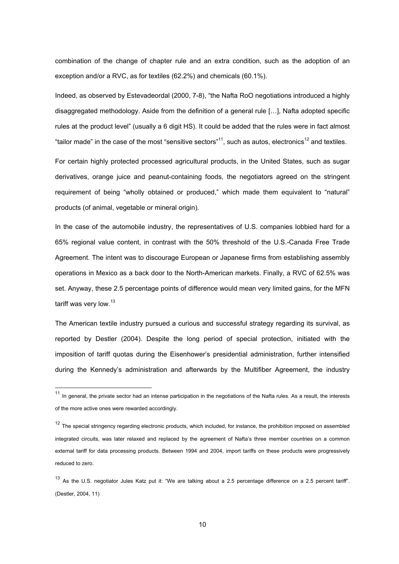combination of the change of chapter rule and an extra condition, such as the adoption of an exception and/or a RVC, as for textiles (62.2%) and chemicals (60.1%).

Indeed, as observed by Estevadeordal (2000, 7-8), "the Nafta RoO negotiations introduced a highly disaggregated methodology. Aside from the definition of a general rule […], Nafta adopted specific rules at the product level" (usually a 6 digit HS). It could be added that the rules were in fact almost "tailor made" in the case of the most "sensitive sectors"<sup>11</sup>, such as autos, electronics<sup>12</sup> and textiles.

For certain highly protected processed agricultural products, in the United States, such as sugar derivatives, orange juice and peanut-containing foods, the negotiators agreed on the stringent requirement of being "wholly obtained or produced," which made them equivalent to "natural" products (of animal, vegetable or mineral origin).

In the case of the automobile industry, the representatives of U.S. companies lobbied hard for a 65% regional value content, in contrast with the 50% threshold of the U.S.-Canada Free Trade Agreement. The intent was to discourage European or Japanese firms from establishing assembly operations in Mexico as a back door to the North-American markets. Finally, a RVC of 62.5% was set. Anyway, these 2.5 percentage points of difference would mean very limited gains, for the MFN tariff was very low.<sup>13</sup>

The American textile industry pursued a curious and successful strategy regarding its survival, as reported by Destler (2004). Despite the long period of special protection, initiated with the imposition of tariff quotas during the Eisenhower's presidential administration, further intensified during the Kennedy's administration and afterwards by the Multifiber Agreement, the industry

 $11$  In general, the private sector had an intense participation in the negotiations of the Nafta rules. As a result, the interests of the more active ones were rewarded accordingly.

<sup>&</sup>lt;sup>12</sup> The special stringency regarding electronic products, which included, for instance, the prohibition imposed on assembled integrated circuits, was later relaxed and replaced by the agreement of Nafta's three member countries on a common external tariff for data processing products. Between 1994 and 2004, import tariffs on these products were progressively reduced to zero.

<sup>&</sup>lt;sup>13</sup> As the U.S. negotiator Jules Katz put it: "We are talking about a 2.5 percentage difference on a 2.5 percent tariff". (Destler, 2004, 11)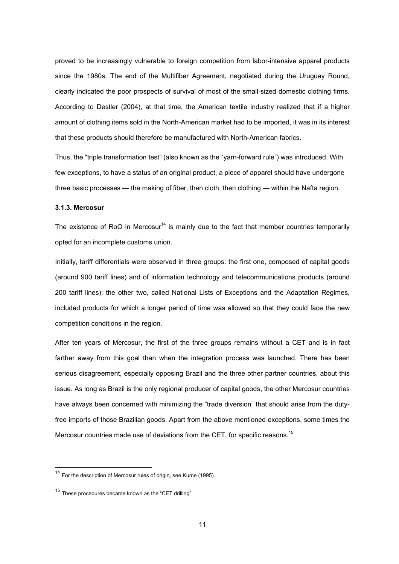proved to be increasingly vulnerable to foreign competition from labor-intensive apparel products since the 1980s. The end of the Multifiber Agreement, negotiated during the Uruguay Round, clearly indicated the poor prospects of survival of most of the small-sized domestic clothing firms. According to Destler (2004), at that time, the American textile industry realized that if a higher amount of clothing items sold in the North-American market had to be imported, it was in its interest that these products should therefore be manufactured with North-American fabrics.

Thus, the "triple transformation test" (also known as the "yarn-forward rule") was introduced. With few exceptions, to have a status of an original product, a piece of apparel should have undergone three basic processes — the making of fiber, then cloth, then clothing — within the Nafta region.

#### **3.1.3. Mercosur**

The existence of RoO in Mercosur<sup>14</sup> is mainly due to the fact that member countries temporarily opted for an incomplete customs union.

Initially, tariff differentials were observed in three groups: the first one, composed of capital goods (around 900 tariff lines) and of information technology and telecommunications products (around 200 tariff lines); the other two, called National Lists of Exceptions and the Adaptation Regimes, included products for which a longer period of time was allowed so that they could face the new competition conditions in the region.

After ten years of Mercosur, the first of the three groups remains without a CET and is in fact farther away from this goal than when the integration process was launched. There has been serious disagreement, especially opposing Brazil and the three other partner countries, about this issue. As long as Brazil is the only regional producer of capital goods, the other Mercosur countries have always been concerned with minimizing the "trade diversion" that should arise from the dutyfree imports of those Brazilian goods. Apart from the above mentioned exceptions, some times the Mercosur countries made use of deviations from the CET, for specific reasons.<sup>15</sup>

 $14$  For the description of Mercosur rules of origin, see Kume (1995).

<sup>&</sup>lt;sup>15</sup> These procedures became known as the "CET drilling".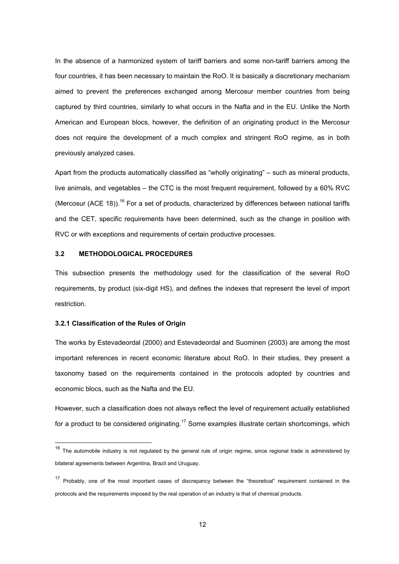In the absence of a harmonized system of tariff barriers and some non-tariff barriers among the four countries, it has been necessary to maintain the RoO. It is basically a discretionary mechanism aimed to prevent the preferences exchanged among Mercosur member countries from being captured by third countries, similarly to what occurs in the Nafta and in the EU. Unlike the North American and European blocs, however, the definition of an originating product in the Mercosur does not require the development of a much complex and stringent RoO regime, as in both previously analyzed cases.

Apart from the products automatically classified as "wholly originating" – such as mineral products, live animals, and vegetables – the CTC is the most frequent requirement, followed by a 60% RVC (Mercosur (ACE 18)).<sup>16</sup> For a set of products, characterized by differences between national tariffs and the CET, specific requirements have been determined, such as the change in position with RVC or with exceptions and requirements of certain productive processes.

## **3.2 METHODOLOGICAL PROCEDURES**

This subsection presents the methodology used for the classification of the several RoO requirements, by product (six-digit HS), and defines the indexes that represent the level of import restriction.

#### **3.2.1 Classification of the Rules of Origin**

 $\overline{a}$ 

The works by Estevadeordal (2000) and Estevadeordal and Suominen (2003) are among the most important references in recent economic literature about RoO. In their studies, they present a taxonomy based on the requirements contained in the protocols adopted by countries and economic blocs, such as the Nafta and the EU.

However, such a classification does not always reflect the level of requirement actually established for a product to be considered originating.<sup>17</sup> Some examples illustrate certain shortcomings, which

 $16$  The automobile industry is not regulated by the general rule of origin regime, since regional trade is administered by bilateral agreements between Argentina, Brazil and Uruguay.

<sup>&</sup>lt;sup>17</sup> Probably, one of the most important cases of discrepancy between the "theoretical" requirement contained in the protocols and the requirements imposed by the real operation of an industry is that of chemical products.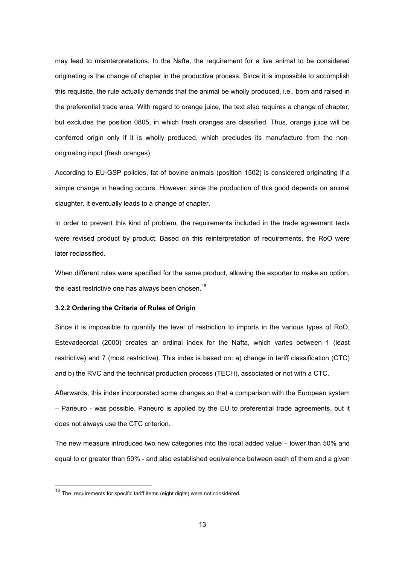may lead to misinterpretations. In the Nafta, the requirement for a live animal to be considered originating is the change of chapter in the productive process. Since it is impossible to accomplish this requisite, the rule actually demands that the animal be wholly produced, i.e., born and raised in the preferential trade area. With regard to orange juice, the text also requires a change of chapter, but excludes the position 0805, in which fresh oranges are classified. Thus, orange juice will be conferred origin only if it is wholly produced, which precludes its manufacture from the nonoriginating input (fresh oranges).

According to EU-GSP policies, fat of bovine animals (position 1502) is considered originating if a simple change in heading occurs. However, since the production of this good depends on animal slaughter, it eventually leads to a change of chapter.

In order to prevent this kind of problem, the requirements included in the trade agreement texts were revised product by product. Based on this reinterpretation of requirements, the RoO were later reclassified.

When different rules were specified for the same product, allowing the exporter to make an option, the least restrictive one has always been chosen.<sup>18</sup>

#### **3.2.2 Ordering the Criteria of Rules of Origin**

Since it is impossible to quantify the level of restriction to imports in the various types of RoO, Estevadeordal (2000) creates an ordinal index for the Nafta, which varies between 1 (least restrictive) and 7 (most restrictive). This index is based on: a) change in tariff classification (CTC) and b) the RVC and the technical production process (TECH), associated or not with a CTC.

Afterwards, this index incorporated some changes so that a comparison with the European system – Paneuro - was possible. Paneuro is applied by the EU to preferential trade agreements, but it does not always use the CTC criterion.

The new measure introduced two new categories into the local added value – lower than 50% and equal to or greater than 50% - and also established equivalence between each of them and a given

 $18$  The requirements for specific tariff items (eight digits) were not considered.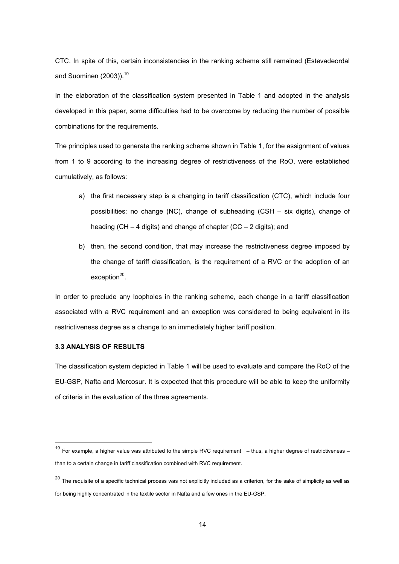CTC. In spite of this, certain inconsistencies in the ranking scheme still remained (Estevadeordal and Suominen  $(2003)$ ).<sup>19</sup>

In the elaboration of the classification system presented in Table 1 and adopted in the analysis developed in this paper, some difficulties had to be overcome by reducing the number of possible combinations for the requirements.

The principles used to generate the ranking scheme shown in Table 1, for the assignment of values from 1 to 9 according to the increasing degree of restrictiveness of the RoO, were established cumulatively, as follows:

- a) the first necessary step is a changing in tariff classification (CTC), which include four possibilities: no change (NC), change of subheading (CSH – six digits), change of heading (CH – 4 digits) and change of chapter (CC – 2 digits); and
- b) then, the second condition, that may increase the restrictiveness degree imposed by the change of tariff classification, is the requirement of a RVC or the adoption of an exception<sup>20</sup>

In order to preclude any loopholes in the ranking scheme, each change in a tariff classification associated with a RVC requirement and an exception was considered to being equivalent in its restrictiveness degree as a change to an immediately higher tariff position.

#### **3.3 ANALYSIS OF RESULTS**

 $\overline{a}$ 

The classification system depicted in Table 1 will be used to evaluate and compare the RoO of the EU-GSP, Nafta and Mercosur. It is expected that this procedure will be able to keep the uniformity of criteria in the evaluation of the three agreements.

<sup>&</sup>lt;sup>19</sup> For example, a higher value was attributed to the simple RVC requirement  $-$  thus, a higher degree of restrictiveness – than to a certain change in tariff classification combined with RVC requirement.

<sup>&</sup>lt;sup>20</sup> The requisite of a specific technical process was not explicitly included as a criterion, for the sake of simplicity as well as for being highly concentrated in the textile sector in Nafta and a few ones in the EU-GSP.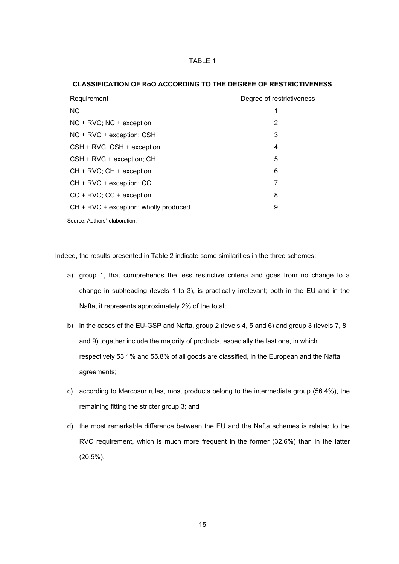| . . |  |
|-----|--|
|-----|--|

| Requirement                           | Degree of restrictiveness |
|---------------------------------------|---------------------------|
| <b>NC</b>                             | 1                         |
| NC + RVC; NC + exception              | 2                         |
| NC + RVC + exception; CSH             | 3                         |
| CSH + RVC; CSH + exception            | 4                         |
| CSH + RVC + exception; CH             | 5                         |
| CH + RVC; CH + exception              | 6                         |
| CH + RVC + exception; CC              | 7                         |
| CC + RVC; CC + exception              | 8                         |
| CH + RVC + exception; wholly produced | 9                         |

#### **CLASSIFICATION OF RoO ACCORDING TO THE DEGREE OF RESTRICTIVENESS**

Source: Authors` elaboration.

Indeed, the results presented in Table 2 indicate some similarities in the three schemes:

- a) group 1, that comprehends the less restrictive criteria and goes from no change to a change in subheading (levels 1 to 3), is practically irrelevant; both in the EU and in the Nafta, it represents approximately 2% of the total;
- b) in the cases of the EU-GSP and Nafta, group 2 (levels 4, 5 and 6) and group 3 (levels 7, 8 and 9) together include the majority of products, especially the last one, in which respectively 53.1% and 55.8% of all goods are classified, in the European and the Nafta agreements;
- c) according to Mercosur rules, most products belong to the intermediate group (56.4%), the remaining fitting the stricter group 3; and
- d) the most remarkable difference between the EU and the Nafta schemes is related to the RVC requirement, which is much more frequent in the former (32.6%) than in the latter (20.5%).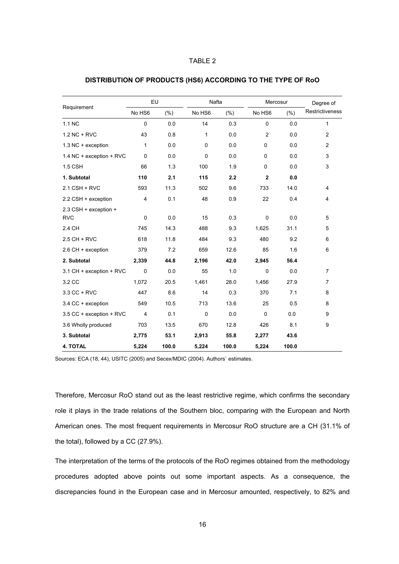|                                     | EU             |       |             | Nafta   |                | Mercosur | Degree of       |
|-------------------------------------|----------------|-------|-------------|---------|----------------|----------|-----------------|
| Requirement                         | No HS6         | (%)   | No HS6      | $(\% )$ | No HS6         | $(\% )$  | Restrictiveness |
| 1.1 NC                              | $\mathbf 0$    | 0.0   | 14          | 0.3     | $\mathbf 0$    | 0.0      | 1               |
| 1.2 NC + RVC                        | 43             | 0.8   | 1           | 0.0     | $\overline{2}$ | 0.0      | 2               |
| 1.3 NC + exception                  | 1              | 0.0   | $\mathbf 0$ | 0.0     | $\mathbf 0$    | 0.0      | $\overline{2}$  |
| 1.4 NC + exception + RVC            | $\pmb{0}$      | 0.0   | 0           | 0.0     | $\mathbf 0$    | 0.0      | 3               |
| 1.5 CSH                             | 66             | 1.3   | 100         | 1.9     | $\mathbf 0$    | 0.0      | 3               |
| 1. Subtotal                         | 110            | 2.1   | 115         | 2.2     | $\mathbf{2}$   | 0.0      |                 |
| $2.1$ CSH + RVC                     | 593            | 11.3  | 502         | 9.6     | 733            | 14.0     | 4               |
| 2.2 CSH + exception                 | 4              | 0.1   | 48          | 0.9     | 22             | 0.4      | $\overline{4}$  |
| 2.3 CSH + exception +<br><b>RVC</b> | $\pmb{0}$      | 0.0   | 15          | 0.3     | $\pmb{0}$      | 0.0      | 5               |
| 2.4 CH                              | 745            | 14.3  | 488         | 9.3     | 1,625          | 31.1     | 5               |
| $2.5$ CH + RVC                      | 618            | 11.8  | 484         | 9.3     | 480            | 9.2      | 6               |
| 2.6 CH + exception                  | 379            | 7.2   | 659         | 12.6    | 85             | 1.6      | 6               |
| 2. Subtotal                         | 2,339          | 44.8  | 2,196       | 42.0    | 2,945          | 56.4     |                 |
| 3.1 CH + exception + RVC            | $\pmb{0}$      | 0.0   | 55          | 1.0     | $\mathbf 0$    | 0.0      | $\overline{7}$  |
| 3.2 CC                              | 1,072          | 20.5  | 1,461       | 28.0    | 1,456          | 27.9     | $\overline{7}$  |
| 3.3 CC + RVC                        | 447            | 8.6   | 14          | 0.3     | 370            | 7.1      | 8               |
| 3.4 CC + exception                  | 549            | 10.5  | 713         | 13.6    | 25             | 0.5      | 8               |
| 3.5 CC + exception + RVC            | $\overline{4}$ | 0.1   | $\mathbf 0$ | 0.0     | $\mathbf 0$    | 0.0      | 9               |
| 3.6 Wholly produced                 | 703            | 13.5  | 670         | 12.8    | 426            | 8.1      | 9               |
| 3. Subtotal                         | 2,775          | 53.1  | 2,913       | 55.8    | 2,277          | 43.6     |                 |
| <b>4. TOTAL</b>                     | 5,224          | 100.0 | 5,224       | 100.0   | 5,224          | 100.0    |                 |

## **DISTRIBUTION OF PRODUCTS (HS6) ACCORDING TO THE TYPE OF RoO**

Sources: ECA (18, 44), USITC (2005) and Secex/MDIC (2004). Authors` estimates.

Therefore, Mercosur RoO stand out as the least restrictive regime, which confirms the secondary role it plays in the trade relations of the Southern bloc, comparing with the European and North American ones. The most frequent requirements in Mercosur RoO structure are a CH (31.1% of the total), followed by a CC (27.9%).

The interpretation of the terms of the protocols of the RoO regimes obtained from the methodology procedures adopted above points out some important aspects. As a consequence, the discrepancies found in the European case and in Mercosur amounted, respectively, to 82% and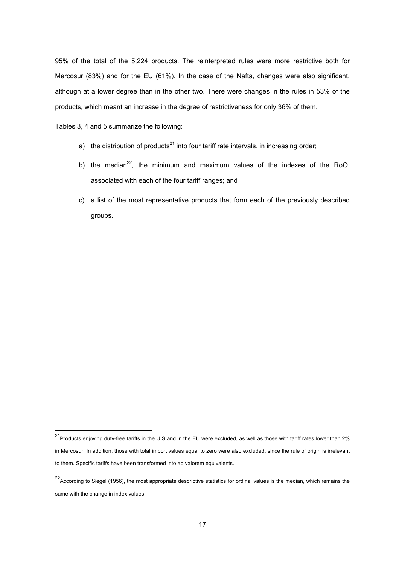95% of the total of the 5,224 products. The reinterpreted rules were more restrictive both for Mercosur (83%) and for the EU (61%). In the case of the Nafta, changes were also significant, although at a lower degree than in the other two. There were changes in the rules in 53% of the products, which meant an increase in the degree of restrictiveness for only 36% of them.

Tables 3, 4 and 5 summarize the following:

- a) the distribution of products<sup>21</sup> into four tariff rate intervals, in increasing order;
- b) the median<sup>22</sup>, the minimum and maximum values of the indexes of the RoO, associated with each of the four tariff ranges; and
- c) a list of the most representative products that form each of the previously described groups.

<sup>&</sup>lt;sup>21</sup> Products enjoying duty-free tariffs in the U.S and in the EU were excluded, as well as those with tariff rates lower than 2% in Mercosur. In addition, those with total import values equal to zero were also excluded, since the rule of origin is irrelevant to them. Specific tariffs have been transformed into ad valorem equivalents.

 $^{22}$ According to Siegel (1956), the most appropriate descriptive statistics for ordinal values is the median, which remains the same with the change in index values.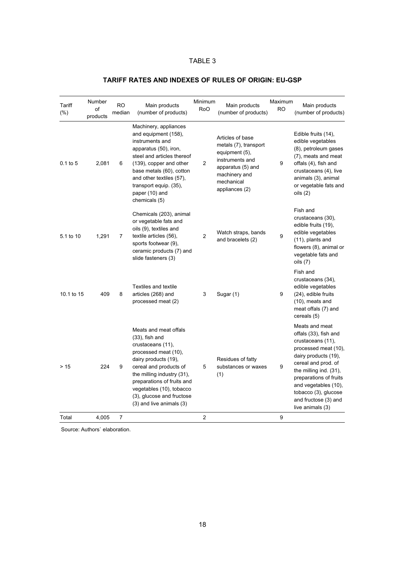# **TARIFF RATES AND INDEXES OF RULES OF ORIGIN: EU-GSP**

| Tariff<br>$(\% )$ | Number<br>of<br>products | <b>RO</b><br>median | Main products<br>(number of products)                                                                                                                                                                                                                                                          | Minimum<br>Ro <sub>O</sub> | Main products<br>(number of products)                                                                                                                | Maximum<br>RO | Main products<br>(number of products)                                                                                                                                                                                                                                               |
|-------------------|--------------------------|---------------------|------------------------------------------------------------------------------------------------------------------------------------------------------------------------------------------------------------------------------------------------------------------------------------------------|----------------------------|------------------------------------------------------------------------------------------------------------------------------------------------------|---------------|-------------------------------------------------------------------------------------------------------------------------------------------------------------------------------------------------------------------------------------------------------------------------------------|
| $0.1$ to 5        | 2,081                    | 6                   | Machinery, appliances<br>and equipment (158),<br>instruments and<br>apparatus (50), iron,<br>steel and articles thereof<br>(139), copper and other<br>base metals (60), cotton<br>and other textiles (57),<br>transport equip. (35),<br>paper (10) and<br>chemicals (5)                        | $\overline{2}$             | Articles of base<br>metals (7), transport<br>equipment (5),<br>instruments and<br>apparatus (5) and<br>machinery and<br>mechanical<br>appliances (2) | 9             | Edible fruits (14),<br>edible vegetables<br>(8), petroleum gases<br>(7), meats and meat<br>offals (4), fish and<br>crustaceans (4), live<br>animals (3), animal<br>or vegetable fats and<br>oils(2)                                                                                 |
| 5.1 to 10         | 1,291                    | 7                   | Chemicals (203), animal<br>or vegetable fats and<br>oils (9), textiles and<br>textile articles (56),<br>sports footwear (9),<br>ceramic products (7) and<br>slide fasteners (3)                                                                                                                | $\overline{2}$             | Watch straps, bands<br>and bracelets (2)                                                                                                             | 9             | Fish and<br>crustaceans (30),<br>edible fruits (19),<br>edible vegetables<br>$(11)$ , plants and<br>flowers (8), animal or<br>vegetable fats and<br>oils(7)                                                                                                                         |
| 10.1 to 15        | 409                      | 8                   | <b>Textiles and textile</b><br>articles (268) and<br>processed meat (2)                                                                                                                                                                                                                        | 3                          | Sugar (1)                                                                                                                                            | 9             | Fish and<br>crustaceans (34),<br>edible vegetables<br>(24), edible fruits<br>$(10)$ , meats and<br>meat offals (7) and<br>cereals (5)                                                                                                                                               |
| >15               | 224                      | 9                   | Meats and meat offals<br>$(33)$ , fish and<br>crustaceans (11),<br>processed meat (10),<br>dairy products (19),<br>cereal and products of<br>the milling industry (31),<br>preparations of fruits and<br>vegetables (10), tobacco<br>(3), glucose and fructose<br>$(3)$ and live animals $(3)$ | 5                          | Residues of fatty<br>substances or waxes<br>(1)                                                                                                      | 9             | Meats and meat<br>offals (33), fish and<br>crustaceans (11),<br>processed meat (10),<br>dairy products (19),<br>cereal and prod. of<br>the milling ind. (31),<br>preparations of fruits<br>and vegetables (10),<br>tobacco (3), glucose<br>and fructose (3) and<br>live animals (3) |
| Total             | 4,005                    | 7                   |                                                                                                                                                                                                                                                                                                | $\overline{2}$             |                                                                                                                                                      | 9             |                                                                                                                                                                                                                                                                                     |

Source: Authors` elaboration.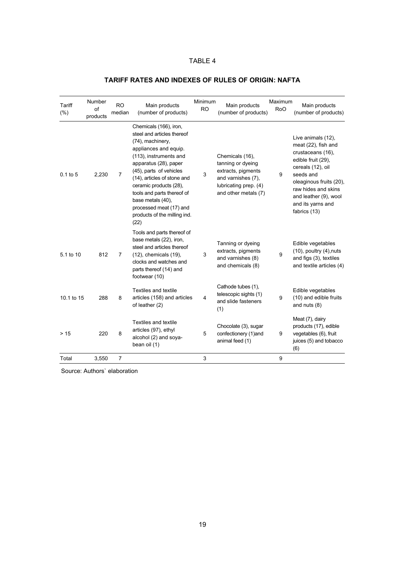| Tariff<br>(% ) | Number<br>οf<br>products | <b>RO</b><br>median | Main products<br>(number of products)                                                                                                                                                                                                                                                                                                                          | Minimum<br><b>RO</b> | Main products<br>(number of products)                                                                                             | Maximum<br>R <sub>o</sub> O | Main products<br>(number of products)                                                                                                                                                                                                  |
|----------------|--------------------------|---------------------|----------------------------------------------------------------------------------------------------------------------------------------------------------------------------------------------------------------------------------------------------------------------------------------------------------------------------------------------------------------|----------------------|-----------------------------------------------------------------------------------------------------------------------------------|-----------------------------|----------------------------------------------------------------------------------------------------------------------------------------------------------------------------------------------------------------------------------------|
| $0.1$ to $5$   | 2,230                    | $\overline{7}$      | Chemicals (166), iron,<br>steel and articles thereof<br>(74), machinery,<br>appliances and equip.<br>(113), instruments and<br>apparatus (28), paper<br>(45), parts of vehicles<br>(14), articles of stone and<br>ceramic products (28),<br>tools and parts thereof of<br>base metals (40),<br>processed meat (17) and<br>products of the milling ind.<br>(22) | 3                    | Chemicals (16),<br>tanning or dyeing<br>extracts, pigments<br>and varnishes (7),<br>lubricating prep. (4)<br>and other metals (7) | 9                           | Live animals (12),<br>meat (22), fish and<br>crustaceans (16),<br>edible fruit (29),<br>cereals (12), oil<br>seeds and<br>oleaginous fruits (20),<br>raw hides and skins<br>and leather (9), wool<br>and its yarns and<br>fabrics (13) |
| 5.1 to 10      | 812                      | $\overline{7}$      | Tools and parts thereof of<br>base metals (22), iron,<br>steel and articles thereof<br>(12), chemicals (19),<br>clocks and watches and<br>parts thereof (14) and<br>footwear (10)                                                                                                                                                                              | 3                    | Tanning or dyeing<br>extracts, pigments<br>and varnishes (8)<br>and chemicals (8)                                                 | 9                           | Edible vegetables<br>$(10)$ , poultry $(4)$ , nuts<br>and figs (3), textiles<br>and textile articles (4)                                                                                                                               |
| 10.1 to 15     | 288                      | 8                   | <b>Textiles and textile</b><br>articles (158) and articles<br>of leather (2)                                                                                                                                                                                                                                                                                   | $\overline{4}$       | Cathode tubes (1),<br>telescopic sights (1)<br>and slide fasteners<br>(1)                                                         | 9                           | Edible vegetables<br>(10) and edible fruits<br>and nuts (8)                                                                                                                                                                            |
| $>15$          | 220                      | 8                   | Textiles and textile<br>articles (97), ethyl<br>alcohol (2) and soya-<br>bean oil (1)                                                                                                                                                                                                                                                                          | 5                    | Chocolate (3), sugar<br>confectionery (1)and<br>animal feed (1)                                                                   | 9                           | Meat (7), dairy<br>products (17), edible<br>vegetables (6), fruit<br>juices (5) and tobacco<br>(6)                                                                                                                                     |
| Total          | 3,550                    | $\overline{7}$      |                                                                                                                                                                                                                                                                                                                                                                | 3                    |                                                                                                                                   | 9                           |                                                                                                                                                                                                                                        |

Source: Authors` elaboration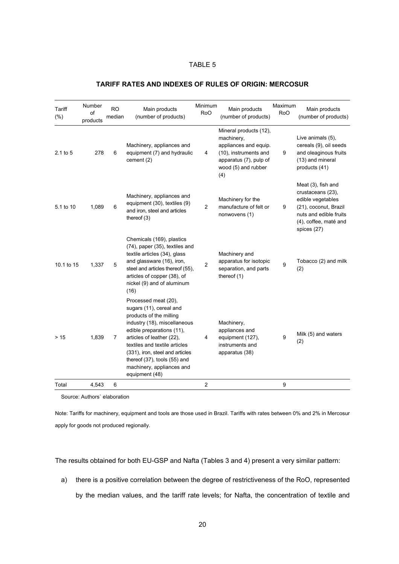# **TARIFF RATES AND INDEXES OF RULES OF ORIGIN: MERCOSUR**

| Tariff<br>(% ) | Number<br>of<br>products | <b>RO</b><br>median | Main products<br>(number of products)                                                                                                                                                                                                                                                                                   | Minimum<br>Ro <sub>O</sub> | Main products<br>(number of products)                                                                                                          | Maximum<br>R <sub>o</sub> O | Main products<br>(number of products)                                                                                                                   |
|----------------|--------------------------|---------------------|-------------------------------------------------------------------------------------------------------------------------------------------------------------------------------------------------------------------------------------------------------------------------------------------------------------------------|----------------------------|------------------------------------------------------------------------------------------------------------------------------------------------|-----------------------------|---------------------------------------------------------------------------------------------------------------------------------------------------------|
| $2.1$ to 5     | 278                      | 6                   | Machinery, appliances and<br>equipment (7) and hydraulic<br>cement (2)                                                                                                                                                                                                                                                  | 4                          | Mineral products (12),<br>machinery,<br>appliances and equip.<br>(10), instruments and<br>apparatus (7), pulp of<br>wood (5) and rubber<br>(4) | 9                           | Live animals (5),<br>cereals (9), oil seeds<br>and oleaginous fruits<br>(13) and mineral<br>products (41)                                               |
| 5.1 to 10      | 1,089                    | 6                   | Machinery, appliances and<br>equipment (30), textiles (9)<br>and iron, steel and articles<br>thereof $(3)$                                                                                                                                                                                                              | $\overline{2}$             | Machinery for the<br>manufacture of felt or<br>nonwovens (1)                                                                                   | 9                           | Meat (3), fish and<br>crustaceans (23),<br>edible vegetables<br>(21), coconut, Brazil<br>nuts and edible fruits<br>(4), coffee, maté and<br>spices (27) |
| 10.1 to 15     | 1,337                    | 5                   | Chemicals (169), plastics<br>(74), paper (35), textiles and<br>textile articles (34), glass<br>and glassware (16), iron,<br>steel and articles thereof (55),<br>articles of copper (38), of<br>nickel (9) and of aluminum<br>(16)                                                                                       | $\overline{c}$             | Machinery and<br>apparatus for isotopic<br>separation, and parts<br>thereof $(1)$                                                              | 9                           | Tobacco (2) and milk<br>(2)                                                                                                                             |
| >15            | 1,839                    | 7                   | Processed meat (20),<br>sugars (11), cereal and<br>products of the milling<br>industry (18), miscellaneous<br>edible preparations (11),<br>articles of leather (22),<br>textiles and textile articles<br>(331), iron, steel and articles<br>thereof (37), tools (55) and<br>machinery, appliances and<br>equipment (48) | 4                          | Machinery,<br>appliances and<br>equipment (127),<br>instruments and<br>apparatus (38)                                                          | 9                           | Milk (5) and waters<br>(2)                                                                                                                              |
| Total          | 4,543                    | 6                   |                                                                                                                                                                                                                                                                                                                         | $\overline{c}$             |                                                                                                                                                | 9                           |                                                                                                                                                         |

Source: Authors` elaboration

Note: Tariffs for machinery, equipment and tools are those used in Brazil. Tariffs with rates between 0% and 2% in Mercosur apply for goods not produced regionally.

The results obtained for both EU-GSP and Nafta (Tables 3 and 4) present a very similar pattern:

a) there is a positive correlation between the degree of restrictiveness of the RoO, represented by the median values, and the tariff rate levels; for Nafta, the concentration of textile and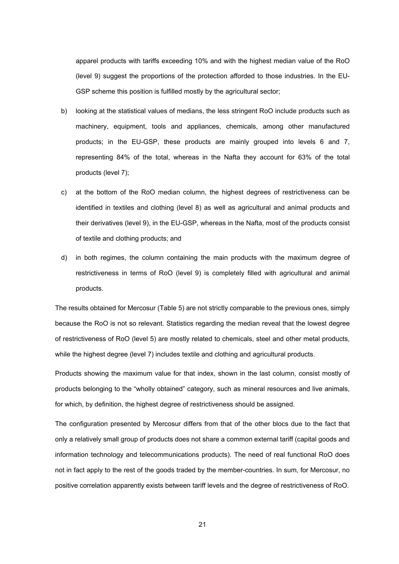apparel products with tariffs exceeding 10% and with the highest median value of the RoO (level 9) suggest the proportions of the protection afforded to those industries. In the EU-GSP scheme this position is fulfilled mostly by the agricultural sector;

- b) looking at the statistical values of medians, the less stringent RoO include products such as machinery, equipment, tools and appliances, chemicals, among other manufactured products; in the EU-GSP, these products are mainly grouped into levels 6 and 7, representing 84% of the total, whereas in the Nafta they account for 63% of the total products (level 7);
- c) at the bottom of the RoO median column, the highest degrees of restrictiveness can be identified in textiles and clothing (level 8) as well as agricultural and animal products and their derivatives (level 9), in the EU-GSP, whereas in the Nafta, most of the products consist of textile and clothing products; and
- d) in both regimes, the column containing the main products with the maximum degree of restrictiveness in terms of RoO (level 9) is completely filled with agricultural and animal products.

The results obtained for Mercosur (Table 5) are not strictly comparable to the previous ones, simply because the RoO is not so relevant. Statistics regarding the median reveal that the lowest degree of restrictiveness of RoO (level 5) are mostly related to chemicals, steel and other metal products, while the highest degree (level 7) includes textile and clothing and agricultural products.

Products showing the maximum value for that index, shown in the last column, consist mostly of products belonging to the "wholly obtained" category, such as mineral resources and live animals, for which, by definition, the highest degree of restrictiveness should be assigned.

The configuration presented by Mercosur differs from that of the other blocs due to the fact that only a relatively small group of products does not share a common external tariff (capital goods and information technology and telecommunications products). The need of real functional RoO does not in fact apply to the rest of the goods traded by the member-countries. In sum, for Mercosur, no positive correlation apparently exists between tariff levels and the degree of restrictiveness of RoO.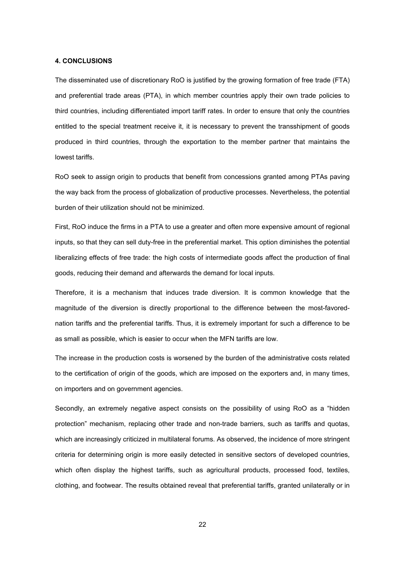#### **4. CONCLUSIONS**

The disseminated use of discretionary RoO is justified by the growing formation of free trade (FTA) and preferential trade areas (PTA), in which member countries apply their own trade policies to third countries, including differentiated import tariff rates. In order to ensure that only the countries entitled to the special treatment receive it, it is necessary to prevent the transshipment of goods produced in third countries, through the exportation to the member partner that maintains the lowest tariffs.

RoO seek to assign origin to products that benefit from concessions granted among PTAs paving the way back from the process of globalization of productive processes. Nevertheless, the potential burden of their utilization should not be minimized.

First, RoO induce the firms in a PTA to use a greater and often more expensive amount of regional inputs, so that they can sell duty-free in the preferential market. This option diminishes the potential liberalizing effects of free trade: the high costs of intermediate goods affect the production of final goods, reducing their demand and afterwards the demand for local inputs.

Therefore, it is a mechanism that induces trade diversion. It is common knowledge that the magnitude of the diversion is directly proportional to the difference between the most-favorednation tariffs and the preferential tariffs. Thus, it is extremely important for such a difference to be as small as possible, which is easier to occur when the MFN tariffs are low.

The increase in the production costs is worsened by the burden of the administrative costs related to the certification of origin of the goods, which are imposed on the exporters and, in many times, on importers and on government agencies.

Secondly, an extremely negative aspect consists on the possibility of using RoO as a "hidden protection" mechanism, replacing other trade and non-trade barriers, such as tariffs and quotas, which are increasingly criticized in multilateral forums. As observed, the incidence of more stringent criteria for determining origin is more easily detected in sensitive sectors of developed countries, which often display the highest tariffs, such as agricultural products, processed food, textiles, clothing, and footwear. The results obtained reveal that preferential tariffs, granted unilaterally or in

<u>22 and 23 and 23 and 23 and 23 and 23 and 23 and 23 and 23 and 23 and 23 and 23 and 23 and 23 and 23 and 23 and 23 and 23 and 23 and 23 and 23 and 23 and 23 and 23 and 23 and 23 and 23 and 23 and 23 and 23 and 23 and 23 a</u>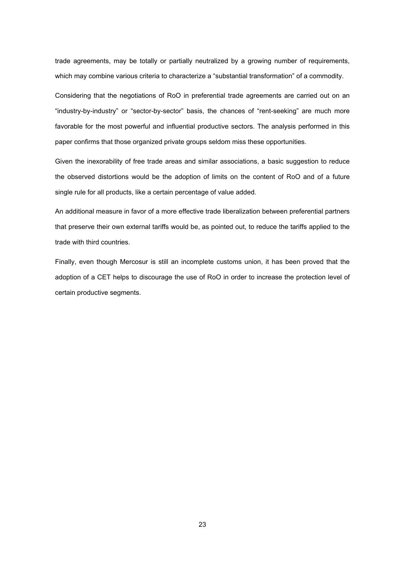trade agreements, may be totally or partially neutralized by a growing number of requirements, which may combine various criteria to characterize a "substantial transformation" of a commodity.

Considering that the negotiations of RoO in preferential trade agreements are carried out on an "industry-by-industry" or "sector-by-sector" basis, the chances of "rent-seeking" are much more favorable for the most powerful and influential productive sectors. The analysis performed in this paper confirms that those organized private groups seldom miss these opportunities.

Given the inexorability of free trade areas and similar associations, a basic suggestion to reduce the observed distortions would be the adoption of limits on the content of RoO and of a future single rule for all products, like a certain percentage of value added.

An additional measure in favor of a more effective trade liberalization between preferential partners that preserve their own external tariffs would be, as pointed out, to reduce the tariffs applied to the trade with third countries.

Finally, even though Mercosur is still an incomplete customs union, it has been proved that the adoption of a CET helps to discourage the use of RoO in order to increase the protection level of certain productive segments.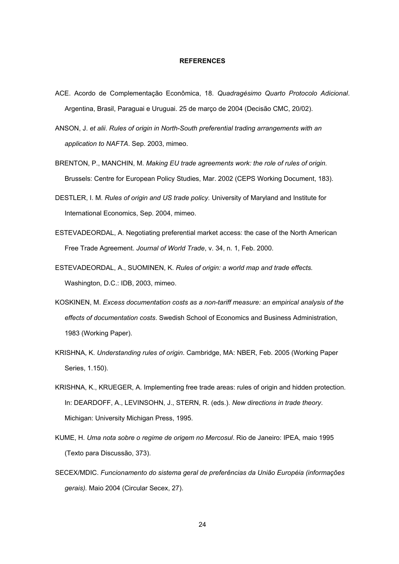#### **REFERENCES**

- ACE. Acordo de Complementação Econômica, 18. *Quadragésimo Quarto Protocolo Adicional*. Argentina, Brasil, Paraguai e Uruguai. 25 de março de 2004 (Decisão CMC, 20/02).
- ANSON, J. *et alii*. *Rules of origin in North-South preferential trading arrangements with an application to NAFTA*. Sep. 2003, mimeo.
- BRENTON, P., MANCHIN, M. *Making EU trade agreements work: the role of rules of origin.* Brussels: Centre for European Policy Studies, Mar. 2002 (CEPS Working Document, 183).
- DESTLER, I. M. *Rules of origin and US trade policy.* University of Maryland and Institute for International Economics, Sep. 2004, mimeo.
- ESTEVADEORDAL, A. Negotiating preferential market access: the case of the North American Free Trade Agreement. *Journal of World Trade*, v. 34, n. 1, Feb. 2000.
- ESTEVADEORDAL, A., SUOMINEN, K. *Rules of origin: a world map and trade effects.*  Washington, D.C.: IDB, 2003, mimeo.
- KOSKINEN, M. *Excess documentation costs as a non-tariff measure: an empirical analysis of the effects of documentation costs*. Swedish School of Economics and Business Administration, 1983 (Working Paper).
- KRISHNA, K. *Understanding rules of origin*. Cambridge, MA: NBER, Feb. 2005 (Working Paper Series, 1.150).
- KRISHNA, K., KRUEGER, A. Implementing free trade areas: rules of origin and hidden protection. In: DEARDOFF, A., LEVINSOHN, J., STERN, R. (eds.). *New directions in trade theory*. Michigan: University Michigan Press, 1995.
- KUME, H. *Uma nota sobre o regime de origem no Mercosul*. Rio de Janeiro: IPEA, maio 1995 (Texto para Discussão, 373).
- SECEX/MDIC. *Funcionamento do sistema geral de preferências da União Européia (informações gerais).* Maio 2004 (Circular Secex, 27).